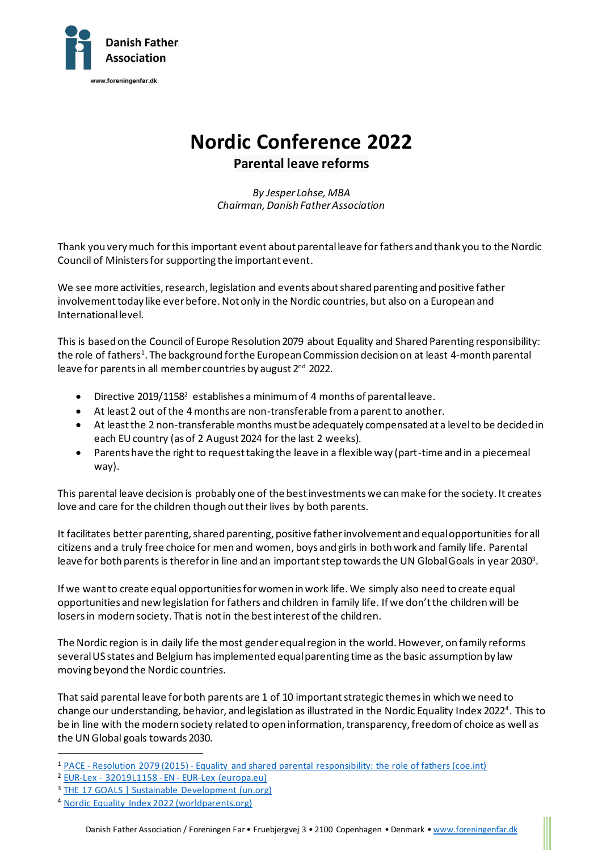

## **Nordic Conference 2022**

## **Parental leave reforms**

*By Jesper Lohse, MBA Chairman, Danish Father Association*

Thank you very much for this important event about parental leave for fathers and thank you to the Nordic Council of Ministers for supporting the important event.

We see more activities, research, legislation and events about shared parenting and positive father involvement today like ever before. Not only in the Nordic countries, but also on a European and International level.

This is based on the Council of Europe Resolution 2079 about Equality and Shared Parenting responsibility: the role of fathers<sup>1</sup>. The background for the European Commission decision on at least 4-month parental leave for parents in all member countries by august 2<sup>nd</sup> 2022.

- Directive 2019/1158<sup>2</sup> establishes a minimum of 4 months of parental leave.
- At least 2 out of the 4 months are non-transferable from a parent to another.
- At least the 2 non-transferable months must be adequately compensated at a level to be decided in each EU country (as of 2 August 2024 for the last 2 weeks).
- Parents have the right to request taking the leave in a flexible way (part-time and in a piecemeal way).

This parental leave decision is probably one of the best investments we can make for the society. It creates love and care for the children though out their lives by both parents.

It facilitates better parenting, shared parenting, positive father involvement and equal opportunities for all citizens and a truly free choice for men and women, boys and girls in both work and family life. Parental leave for both parents is therefor in line and an important step towards the UN Global Goals in year 2030 $^{\rm 3}.$ 

If we want to create equal opportunities for women in work life. We simply also need to create equal opportunities and new legislation for fathers and children in family life. If we don't the children will be losersin modern society. That is not in the best interest of the children.

The Nordic region is in daily life the most gender equal region in the world. However, on family reforms several US states and Belgium has implemented equal parenting time as the basic assumption by law moving beyond the Nordic countries.

That said parental leave for both parents are 1 of 10 important strategic themes in which we need to change our understanding, behavior, and legislation as illustrated in the Nordic Equality Index 2022<sup>4</sup>. This to be in line with the modern society related to open information, transparency, freedom of choice as well as the UN Global goals towards 2030.

<sup>1</sup> PACE - Resolution 2079 (2015) - [Equality and shared parental responsibility: the role of fathers \(coe.int\)](https://assembly.coe.int/nw/xml/XRef/Xref-XML2HTML-EN.asp?fileid=22220)

<sup>2</sup> EUR-Lex - 32019L1158 - EN - [EUR-Lex \(europa.eu\)](https://eur-lex.europa.eu/legal-content/EN/TXT/?uri=uriserv:OJ.L_.2019.188.01.0079.01.ENG)

<sup>&</sup>lt;sup>3</sup> [THE 17 GOALS | Sustainable Development \(un.org\)](https://sdgs.un.org/goals)

<sup>4</sup> [Nordic Equality Index 2022 \(worldparents.org\)](https://worldparents.org/blog/nordic-equality-index-2022)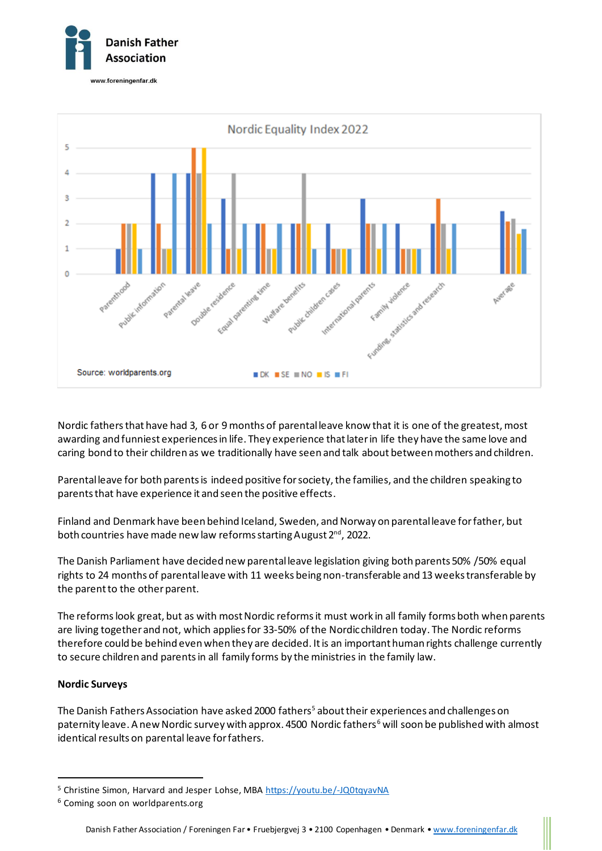



Nordic fathers that have had 3, 6 or 9 months of parental leave know that it is one of the greatest, most awarding and funniest experiences in life. They experience that later in life they have the same love and caring bond to their children as we traditionally have seen and talk about between mothers and children.

Parental leave for both parents is indeed positive for society, the families, and the children speaking to parents that have experience it and seen the positive effects.

Finland and Denmark have been behind Iceland, Sweden, and Norway on parental leave for father, but both countries have made new law reforms starting August 2<sup>nd</sup>, 2022.

The Danish Parliament have decided new parental leave legislation giving both parents 50% /50% equal rights to 24 months of parental leave with 11 weeks being non-transferable and 13 weeks transferable by the parent to the other parent.

The reforms look great, but as with most Nordic reforms it must work in all family forms both when parents are living together and not, which applies for 33-50% of the Nordic children today. The Nordic reforms therefore could be behind even when they are decided. It is an important human rights challenge currently to secure children and parents in all family forms by the ministries in the family law.

## **Nordic Surveys**

The Danish Fathers Association have asked 2000 fathers<sup>5</sup> about their experiences and challenges on paternity leave. A new Nordic survey with approx. 4500 Nordic fathers<sup>6</sup> will soon be published with almost identical results on parental leave for fathers.

<sup>&</sup>lt;sup>5</sup> Christine Simon, Harvard and Jesper Lohse, MB[A https://youtu.be/-JQ0tqyavNA](https://youtu.be/-JQ0tqyavNA)

<sup>6</sup> Coming soon on worldparents.org